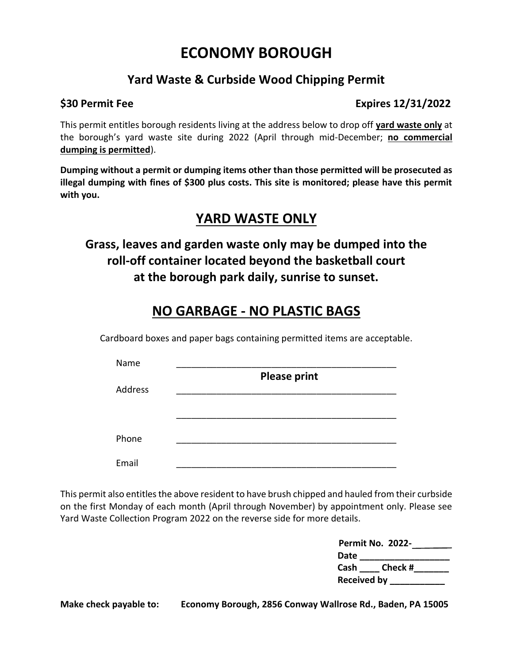# **ECONOMY BOROUGH**

## **Yard Waste & Curbside Wood Chipping Permit**

### **\$30 Permit Fee** Expires 12/31/2022

This permit entitles borough residents living at the address below to drop off **yard waste only** at the borough's yard waste site during 2022 (April through mid-December; **no commercial dumping is permitted**).

**Dumping without a permit or dumping items other than those permitted will be prosecuted as illegal dumping with fines of \$300 plus costs. This site is monitored; please have this permit with you.**

## **YARD WASTE ONLY**

**Grass, leaves and garden waste only may be dumped into the roll-off container located beyond the basketball court at the borough park daily, sunrise to sunset.**

# **NO GARBAGE - NO PLASTIC BAGS**

Cardboard boxes and paper bags containing permitted items are acceptable.

| Name    |                     |
|---------|---------------------|
|         | <b>Please print</b> |
| Address |                     |
|         |                     |
|         |                     |
|         |                     |
| Phone   |                     |
|         |                     |
| Email   |                     |

This permit also entitles the above resident to have brush chipped and hauled from their curbside on the first Monday of each month (April through November) by appointment only. Please see Yard Waste Collection Program 2022 on the reverse side for more details.

| Permit No. 2022-   |
|--------------------|
| Date               |
| Cash Check #       |
| <b>Received by</b> |

**Make check payable to: Economy Borough, 2856 Conway Wallrose Rd., Baden, PA 15005**